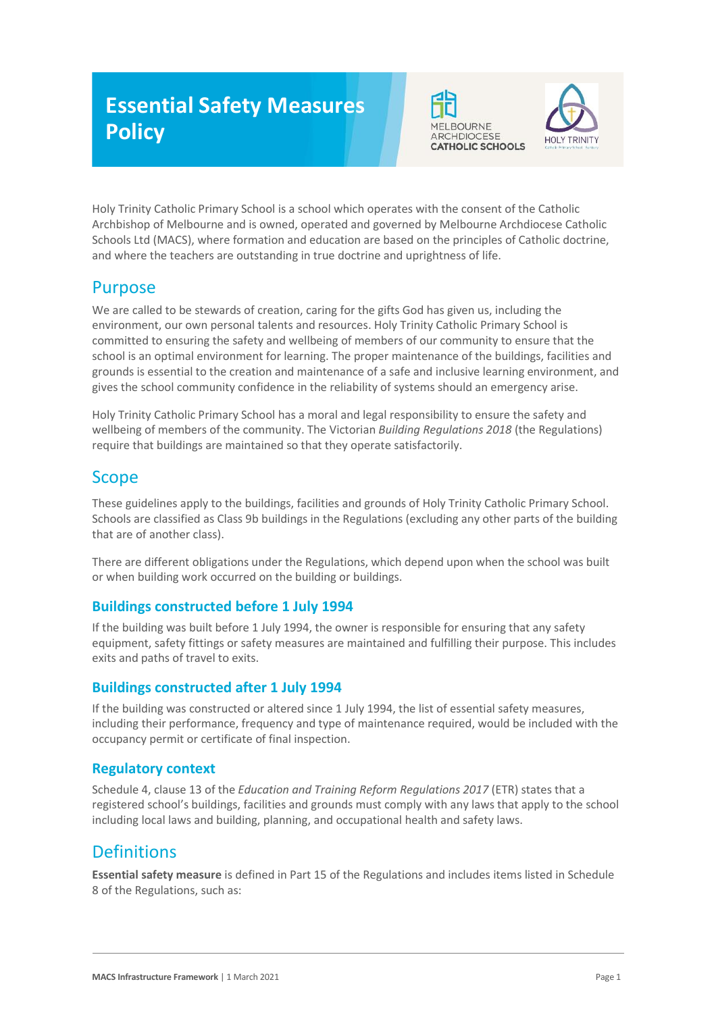# **Essential Safety Measures Policy**





Holy Trinity Catholic Primary School is a school which operates with the consent of the Catholic Archbishop of Melbourne and is owned, operated and governed by Melbourne Archdiocese Catholic Schools Ltd (MACS), where formation and education are based on the principles of Catholic doctrine, and where the teachers are outstanding in true doctrine and uprightness of life.

## Purpose

We are called to be stewards of creation, caring for the gifts God has given us, including the environment, our own personal talents and resources. Holy Trinity Catholic Primary School is committed to ensuring the safety and wellbeing of members of our community to ensure that the school is an optimal environment for learning. The proper maintenance of the buildings, facilities and grounds is essential to the creation and maintenance of a safe and inclusive learning environment, and gives the school community confidence in the reliability of systems should an emergency arise.

Holy Trinity Catholic Primary School has a moral and legal responsibility to ensure the safety and wellbeing of members of the community. The Victorian *Building Regulations 2018* (the Regulations) require that buildings are maintained so that they operate satisfactorily.

## Scope

These guidelines apply to the buildings, facilities and grounds of Holy Trinity Catholic Primary School. Schools are classified as Class 9b buildings in the Regulations (excluding any other parts of the building that are of another class).

There are different obligations under the Regulations, which depend upon when the school was built or when building work occurred on the building or buildings.

### **Buildings constructed before 1 July 1994**

If the building was built before 1 July 1994, the owner is responsible for ensuring that any safety equipment, safety fittings or safety measures are maintained and fulfilling their purpose. This includes exits and paths of travel to exits.

### **Buildings constructed after 1 July 1994**

If the building was constructed or altered since 1 July 1994, the list of essential safety measures, including their performance, frequency and type of maintenance required, would be included with the occupancy permit or certificate of final inspection.

### **Regulatory context**

Schedule 4, clause 13 of the *Education and Training Reform Regulations 2017* (ETR) states that a registered school's buildings, facilities and grounds must comply with any laws that apply to the school including local laws and building, planning, and occupational health and safety laws.

## Definitions

**Essential safety measure** is defined in Part 15 of the Regulations and includes items listed in Schedule 8 of the Regulations, such as: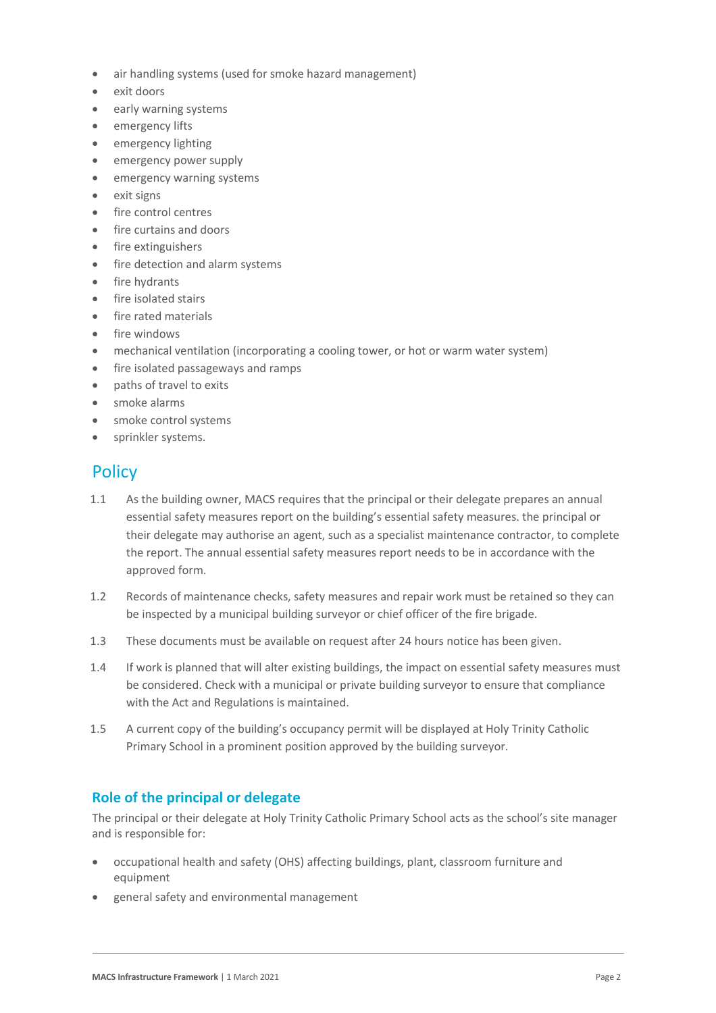- air handling systems (used for smoke hazard management)
- exit doors
- early warning systems
- emergency lifts
- emergency lighting
- emergency power supply
- emergency warning systems
- exit signs
- fire control centres
- fire curtains and doors
- fire extinguishers
- fire detection and alarm systems
- fire hydrants
- fire isolated stairs
- fire rated materials
- fire windows
- mechanical ventilation (incorporating a cooling tower, or hot or warm water system)
- fire isolated passageways and ramps
- paths of travel to exits
- smoke alarms
- smoke control systems
- sprinkler systems.

### **Policy**

- 1.1 As the building owner, MACS requires that the principal or their delegate prepares an annual essential safety measures report on the building's essential safety measures. the principal or their delegate may authorise an agent, such as a specialist maintenance contractor, to complete the report. The annual essential safety measures report needs to be in accordance with the approved form.
- 1.2 Records of maintenance checks, safety measures and repair work must be retained so they can be inspected by a municipal building surveyor or chief officer of the fire brigade.
- 1.3 These documents must be available on request after 24 hours notice has been given.
- 1.4 If work is planned that will alter existing buildings, the impact on essential safety measures must be considered. Check with a municipal or private building surveyor to ensure that compliance with the Act and Regulations is maintained.
- 1.5 A current copy of the building's occupancy permit will be displayed at Holy Trinity Catholic Primary School in a prominent position approved by the building surveyor.

### **Role of the principal or delegate**

The principal or their delegate at Holy Trinity Catholic Primary School acts as the school's site manager and is responsible for:

- occupational health and safety (OHS) affecting buildings, plant, classroom furniture and equipment
- general safety and environmental management